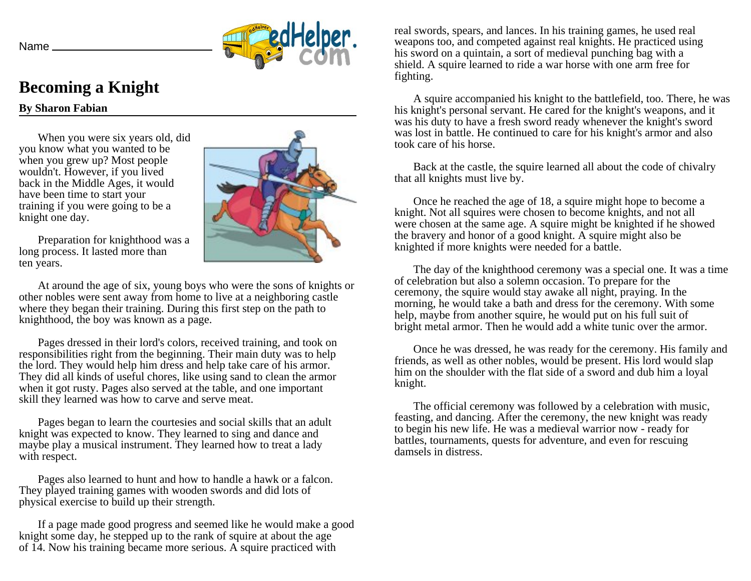



## **Becoming a Knight**

**By Sharon Fabian**

When you were six years old, did you know what you wanted to be when you grew up? Most people wouldn't. However, if you lived back in the Middle Ages, it would have been time to start your training if you were going to be a knight one day.



Preparation for knighthood was a long process. It lasted more than ten years.

At around the age of six, young boys who were the sons of knights or other nobles were sent away from home to live at a neighboring castle where they began their training. During this first step on the path to knighthood, the boy was known as a page.

Pages dressed in their lord's colors, received training, and took on responsibilities right from the beginning. Their main duty was to help the lord. They would help him dress and help take care of his armor. They did all kinds of useful chores, like using sand to clean the armor when it got rusty. Pages also served at the table, and one important skill they learned was how to carve and serve meat.

Pages began to learn the courtesies and social skills that an adult knight was expected to know. They learned to sing and dance and maybe play a musical instrument. They learned how to treat a lady with respect.

Pages also learned to hunt and how to handle a hawk or a falcon. They played training games with wooden swords and did lots of physical exercise to build up their strength.

If a page made good progress and seemed like he would make a good knight some day, he stepped up to the rank of squire at about the age of 14. Now his training became more serious. A squire practiced with

real swords, spears, and lances. In his training games, he used real weapons too, and competed against real knights. He practiced using his sword on a quintain, a sort of medieval punching bag with a shield. A squire learned to ride a war horse with one arm free for fighting.

A squire accompanied his knight to the battlefield, too. There, he was his knight's personal servant. He cared for the knight's weapons, and it was his duty to have a fresh sword ready whenever the knight's sword was lost in battle. He continued to care for his knight's armor and also took care of his horse.

Back at the castle, the squire learned all about the code of chivalry that all knights must live by.

Once he reached the age of 18, a squire might hope to become a knight. Not all squires were chosen to become knights, and not all were chosen at the same age. A squire might be knighted if he showed the bravery and honor of a good knight. A squire might also be knighted if more knights were needed for a battle.

The day of the knighthood ceremony was a special one. It was a time of celebration but also a solemn occasion. To prepare for the ceremony, the squire would stay awake all night, praying. In the morning, he would take a bath and dress for the ceremony. With some help, maybe from another squire, he would put on his full suit of bright metal armor. Then he would add a white tunic over the armor.

Once he was dressed, he was ready for the ceremony. His family and friends, as well as other nobles, would be present. His lord would slap him on the shoulder with the flat side of a sword and dub him a loyal knight.

The official ceremony was followed by a celebration with music, feasting, and dancing. After the ceremony, the new knight was ready to begin his new life. He was a medieval warrior now - ready for battles, tournaments, quests for adventure, and even for rescuing damsels in distress.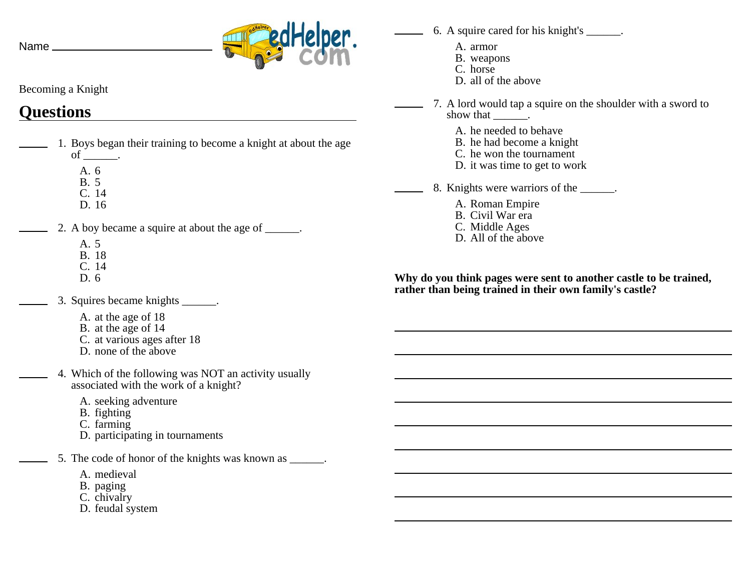Name \_\_



Becoming a Knight

## **Questions**

- 1. Boys began their training to become a knight at about the age of  $\_\_\_\_\$ .
	- A. 6
	- B. 5
	- C. 14 D. 16
	- 2. A boy became a squire at about the age of \_\_\_\_\_\_.
		- A. 5
		- B. 18
		- C. 14
		- D. 6
	- 3. Squires became knights \_\_\_\_\_\_.
		- A. at the age of 18
		- B. at the age of 14
		- C. at various ages after 18
		- D. none of the above
	- 4. Which of the following was NOT an activity usually associated with the work of a knight?
		- A. seeking adventure
		- B. fighting
		- C. farming
		- D. participating in tournaments
	- 5. The code of honor of the knights was known as \_\_\_\_\_\_.
		- A. medieval
		- B. paging
		- C. chivalry
		- D. feudal system
- 6. A squire cared for his knight's \_\_\_\_\_\_.
	- A. armor
	- B. weapons
	- C. horse
	- D. all of the above
- 7. A lord would tap a squire on the shoulder with a sword to show that  $\qquad \qquad$ .
	- A. he needed to behave
	- B. he had become a knight
	- C. he won the tournament
	- D. it was time to get to work
- 8. Knights were warriors of the  $\qquad \qquad$ .
	- A. Roman Empire
	- B. Civil War era
	- C. Middle Ages
	- D. All of the above

**Why do you think pages were sent to another castle to be trained, rather than being trained in their own family's castle?**

and the control of the control of the control of the control of the control of the control of the control of the